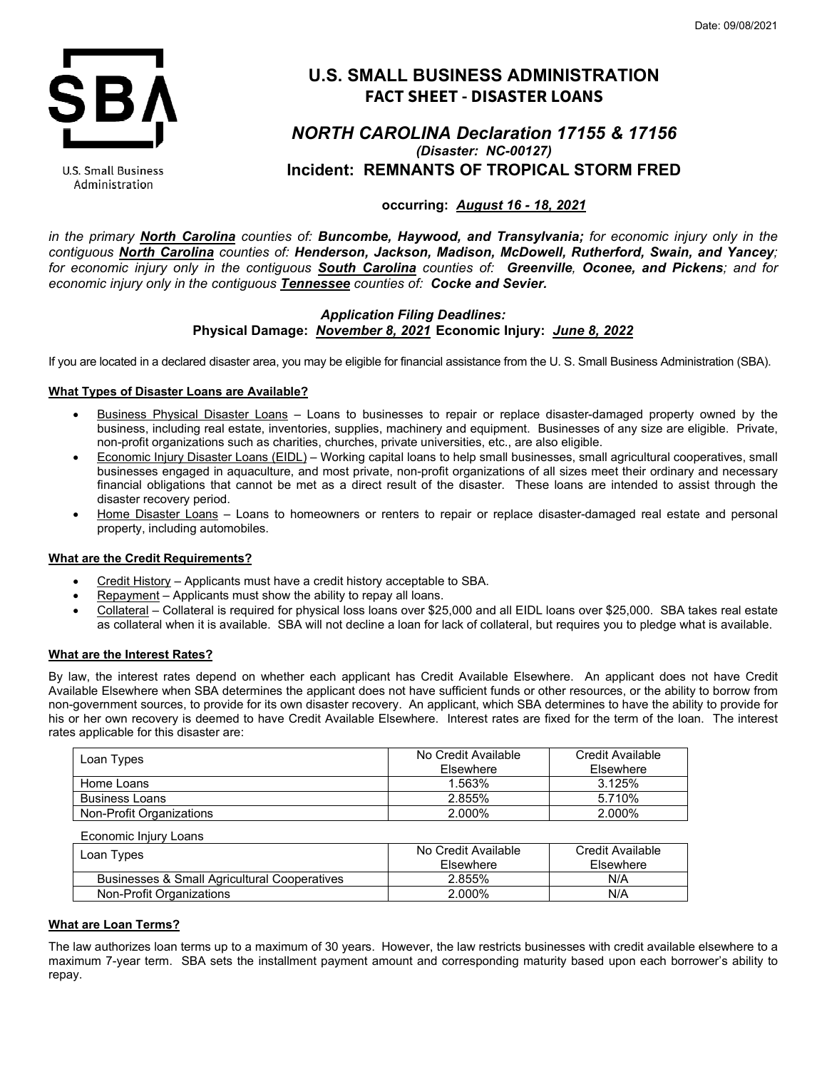

U.S. Small Business Administration

# **U.S. SMALL BUSINESS ADMINISTRATION FACT SHEET - DISASTER LOANS**

# *NORTH CAROLINA Declaration 17155 & 17156 (Disaster: NC-00127)* **Incident: REMNANTS OF TROPICAL STORM FRED**

# **occurring:** *August 16 - 18, 2021*

*in the primary North Carolina counties of: Buncombe, Haywood, and Transylvania; for economic injury only in the contiguous North Carolina counties of: Henderson, Jackson, Madison, McDowell, Rutherford, Swain, and Yancey; for economic injury only in the contiguous South Carolina counties of: Greenville, Oconee, and Pickens; and for economic injury only in the contiguous Tennessee counties of: Cocke and Sevier.*

# *Application Filing Deadlines:* **Physical Damage:** *November 8, 2021* **Economic Injury:** *June 8, 2022*

If you are located in a declared disaster area, you may be eligible for financial assistance from the U. S. Small Business Administration (SBA).

# **What Types of Disaster Loans are Available?**

- Business Physical Disaster Loans Loans to businesses to repair or replace disaster-damaged property owned by the business, including real estate, inventories, supplies, machinery and equipment. Businesses of any size are eligible. Private, non-profit organizations such as charities, churches, private universities, etc., are also eligible.
- Economic Injury Disaster Loans (EIDL) Working capital loans to help small businesses, small agricultural cooperatives, small businesses engaged in aquaculture, and most private, non-profit organizations of all sizes meet their ordinary and necessary financial obligations that cannot be met as a direct result of the disaster. These loans are intended to assist through the disaster recovery period.
- Home Disaster Loans Loans to homeowners or renters to repair or replace disaster-damaged real estate and personal property, including automobiles.

## **What are the Credit Requirements?**

- Credit History Applicants must have a credit history acceptable to SBA.
- Repayment Applicants must show the ability to repay all loans.
- Collateral Collateral is required for physical loss loans over \$25,000 and all EIDL loans over \$25,000. SBA takes real estate as collateral when it is available. SBA will not decline a loan for lack of collateral, but requires you to pledge what is available.

## **What are the Interest Rates?**

By law, the interest rates depend on whether each applicant has Credit Available Elsewhere. An applicant does not have Credit Available Elsewhere when SBA determines the applicant does not have sufficient funds or other resources, or the ability to borrow from non-government sources, to provide for its own disaster recovery. An applicant, which SBA determines to have the ability to provide for his or her own recovery is deemed to have Credit Available Elsewhere. Interest rates are fixed for the term of the loan. The interest rates applicable for this disaster are:

| Loan Types               | No Credit Available<br>Elsewhere | Credit Available<br>Elsewhere |
|--------------------------|----------------------------------|-------------------------------|
| Home Loans               | 1.563%                           | 3.125%                        |
| <b>Business Loans</b>    | 2.855%                           | 5.710%                        |
| Non-Profit Organizations | 2.000%                           | 2.000%                        |

Economic Injury Loans

| Loan Types                                              | No Credit Available<br><b>Fisewhere</b> | Credit Available<br>Elsewhere |
|---------------------------------------------------------|-----------------------------------------|-------------------------------|
| <b>Businesses &amp; Small Agricultural Cooperatives</b> | 2.855%                                  | N/A                           |
| Non-Profit Organizations                                | 2.000%                                  | N/A                           |

## **What are Loan Terms?**

The law authorizes loan terms up to a maximum of 30 years. However, the law restricts businesses with credit available elsewhere to a maximum 7-year term. SBA sets the installment payment amount and corresponding maturity based upon each borrower's ability to repay.